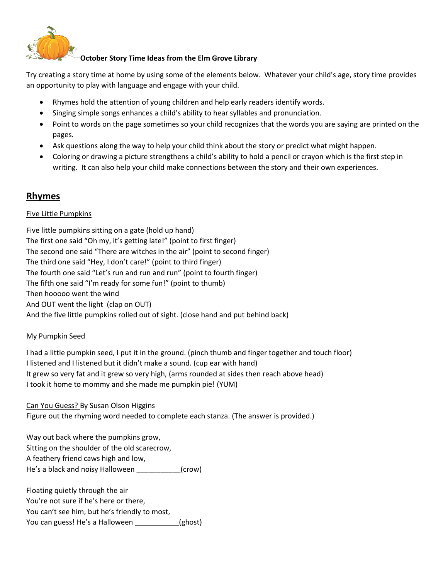

## **October Story Time Ideas from the Elm Grove Library**

Try creating a story time at home by using some of the elements below. Whatever your child's age, story time provides an opportunity to play with language and engage with your child.

- Rhymes hold the attention of young children and help early readers identify words.
- Singing simple songs enhances a child's ability to hear syllables and pronunciation.
- Point to words on the page sometimes so your child recognizes that the words you are saying are printed on the pages.
- Ask questions along the way to help your child think about the story or predict what might happen.
- Coloring or drawing a picture strengthens a child's ability to hold a pencil or crayon which is the first step in writing. It can also help your child make connections between the story and their own experiences.

# **Rhymes**

### Five Little Pumpkins

Five little pumpkins sitting on a gate (hold up hand) The first one said "Oh my, it's getting late!" (point to first finger) The second one said "There are witches in the air" (point to second finger) The third one said "Hey, I don't care!" (point to third finger) The fourth one said "Let's run and run and run" (point to fourth finger) The fifth one said "I'm ready for some fun!" (point to thumb) Then hooooo went the wind And OUT went the light (clap on OUT) And the five little pumpkins rolled out of sight. (close hand and put behind back)

### My Pumpkin Seed

I had a little pumpkin seed, I put it in the ground. (pinch thumb and finger together and touch floor) I listened and I listened but it didn't make a sound. (cup ear with hand) It grew so very fat and it grew so very high, (arms rounded at sides then reach above head) I took it home to mommy and she made me pumpkin pie! (YUM)

Can You Guess? By Susan Olson Higgins

Figure out the rhyming word needed to complete each stanza. (The answer is provided.)

Way out back where the pumpkins grow, Sitting on the shoulder of the old scarecrow, A feathery friend caws high and low, He's a black and noisy Halloween \_\_\_\_\_\_\_\_\_\_\_(crow)

Floating quietly through the air You're not sure if he's here or there, You can't see him, but he's friendly to most, You can guess! He's a Halloween \_\_\_\_\_\_\_\_\_\_(ghost)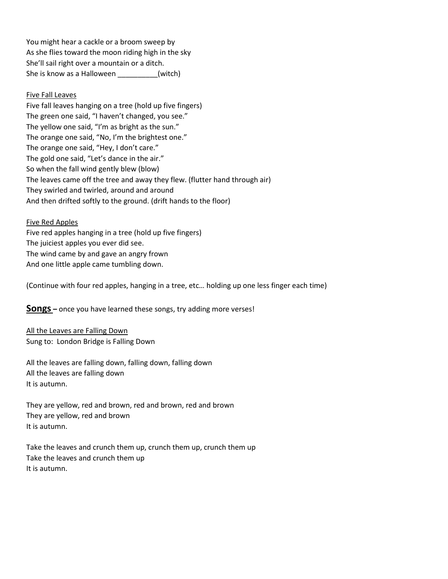You might hear a cackle or a broom sweep by As she flies toward the moon riding high in the sky She'll sail right over a mountain or a ditch. She is know as a Halloween \_\_\_\_\_\_\_\_\_\_(witch)

#### Five Fall Leaves

Five fall leaves hanging on a tree (hold up five fingers) The green one said, "I haven't changed, you see." The yellow one said, "I'm as bright as the sun." The orange one said, "No, I'm the brightest one." The orange one said, "Hey, I don't care." The gold one said, "Let's dance in the air." So when the fall wind gently blew (blow) The leaves came off the tree and away they flew. (flutter hand through air) They swirled and twirled, around and around And then drifted softly to the ground. (drift hands to the floor)

#### Five Red Apples

Five red apples hanging in a tree (hold up five fingers) The juiciest apples you ever did see. The wind came by and gave an angry frown And one little apple came tumbling down.

(Continue with four red apples, hanging in a tree, etc… holding up one less finger each time)

**Songs –** once you have learned these songs, try adding more verses!

All the Leaves are Falling Down Sung to: London Bridge is Falling Down

All the leaves are falling down, falling down, falling down All the leaves are falling down It is autumn.

They are yellow, red and brown, red and brown, red and brown They are yellow, red and brown It is autumn.

Take the leaves and crunch them up, crunch them up, crunch them up Take the leaves and crunch them up It is autumn.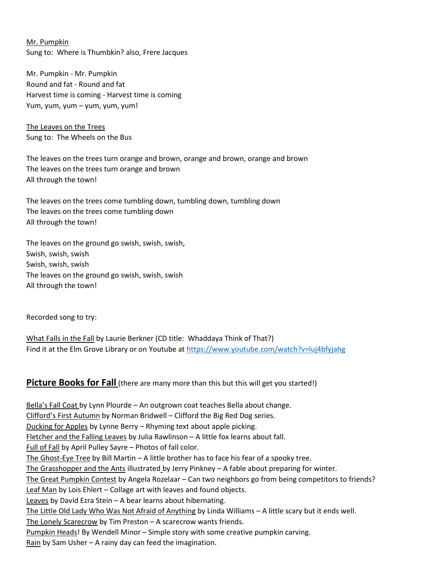Mr. Pumpkin Sung to: Where is Thumbkin? also, Frere Jacques

Mr. Pumpkin - Mr. Pumpkin Round and fat - Round and fat Harvest time is coming - Harvest time is coming Yum, yum, yum – yum, yum, yum!

The Leaves on the Trees Sung to: The Wheels on the Bus

The leaves on the trees turn orange and brown, orange and brown, orange and brown The leaves on the trees turn orange and brown All through the town!

The leaves on the trees come tumbling down, tumbling down, tumbling down The leaves on the trees come tumbling down All through the town!

The leaves on the ground go swish, swish, swish, Swish, swish, swish Swish, swish, swish The leaves on the ground go swish, swish, swish All through the town!

Recorded song to try:

What Falls in the Fall by Laurie Berkner (CD title: Whaddaya Think of That?) Find it at the Elm Grove Library or on Youtube at<https://www.youtube.com/watch?v=luj4bfyjahg>

## **Picture Books for Fall** (there are many more than this but this will get you started!)

Bella's Fall Coat by Lynn Plourde – An outgrown coat teaches Bella about change. Clifford's First Autumn by Norman Bridwell – Clifford the Big Red Dog series. Ducking for Apples by Lynne Berry – Rhyming text about apple picking. Fletcher and the Falling Leaves by Julia Rawlinson – A little fox learns about fall. Full of Fall by April Pulley Sayre – Photos of fall color. The Ghost-Eye Tree by Bill Martin  $- A$  little brother has to face his fear of a spooky tree. The Grasshopper and the Ants illustrated by Jerry Pinkney – A fable about preparing for winter. The Great Pumpkin Contest by Angela Rozelaar – Can two neighbors go from being competitors to friends? Leaf Man by Lois Ehlert - Collage art with leaves and found objects. Leaves by David Ezra Stein - A bear learns about hibernating. The Little Old Lady Who Was Not Afraid of Anything by Linda Williams – A little scary but it ends well. The Lonely Scarecrow by Tim Preston – A scarecrow wants friends. Pumpkin Heads! By Wendell Minor – Simple story with some creative pumpkin carving. Rain by Sam Usher – A rainy day can feed the imagination.